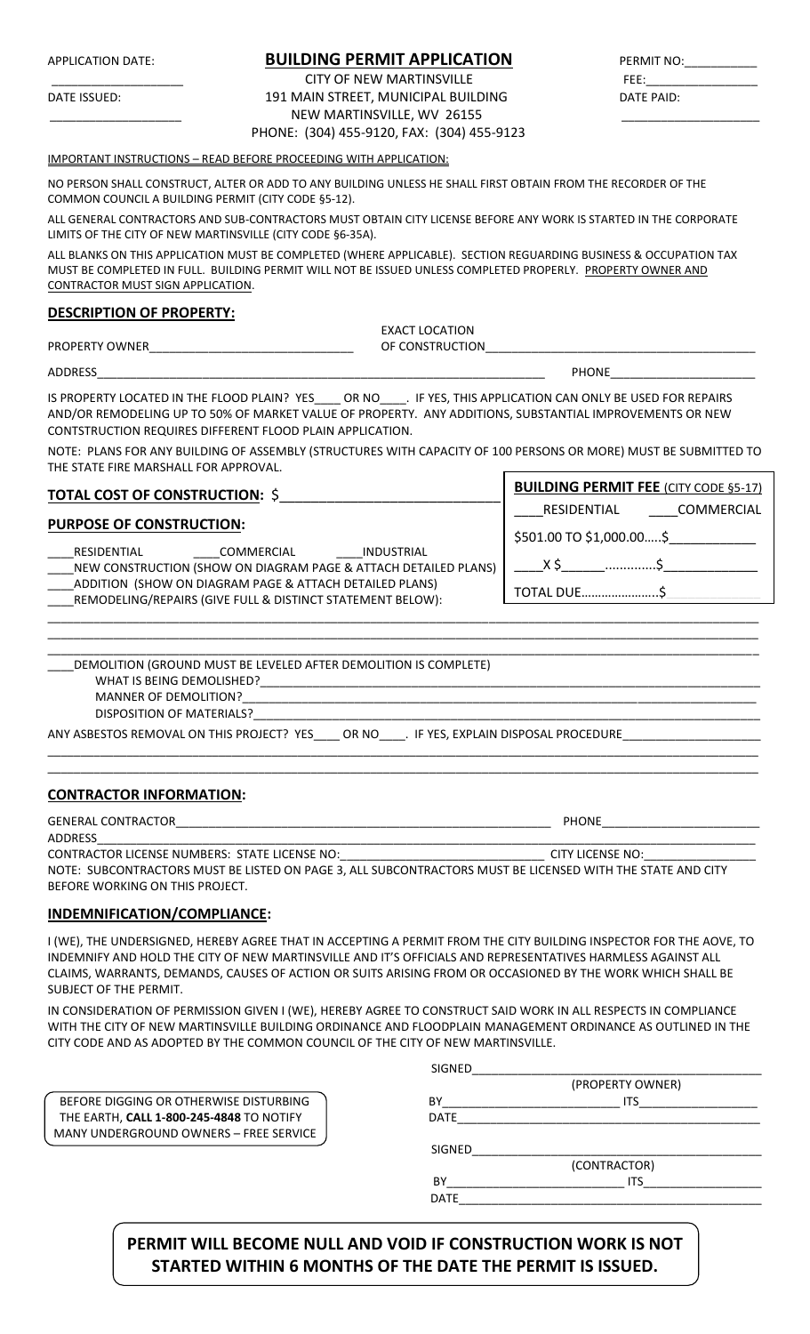## APPLICATION DATE: **BUILDING PERMIT APPLICATION**

CITY OF NEW MARTINSVILLE DATE ISSUED: 191 MAIN STREET, MUNICIPAL BUILDING DATE PAID: NEW MARTINSVILLE, WV 26155 PHONE: (304) 455-9120, FAX: (304) 455-9123

| PERMIT NO:     |  |
|----------------|--|
| FEE:           |  |
| - - -- - - - - |  |

#### IMPORTANT INSTRUCTIONS – READ BEFORE PROCEEDING WITH APPLICATION:

NO PERSON SHALL CONSTRUCT, ALTER OR ADD TO ANY BUILDING UNLESS HE SHALL FIRST OBTAIN FROM THE RECORDER OF THE COMMON COUNCIL A BUILDING PERMIT (CITY CODE §5-12).

ALL GENERAL CONTRACTORS AND SUB-CONTRACTORS MUST OBTAIN CITY LICENSE BEFORE ANY WORK IS STARTED IN THE CORPORATE LIMITS OF THE CITY OF NEW MARTINSVILLE (CITY CODE §6-35A).

ALL BLANKS ON THIS APPLICATION MUST BE COMPLETED (WHERE APPLICABLE). SECTION REGUARDING BUSINESS & OCCUPATION TAX MUST BE COMPLETED IN FULL. BUILDING PERMIT WILL NOT BE ISSUED UNLESS COMPLETED PROPERLY. PROPERTY OWNER AND CONTRACTOR MUST SIGN APPLICATION.

### **DESCRIPTION OF PROPERTY:**

|                          | EXACT LOCATION  |
|--------------------------|-----------------|
| <b>PROPERTY</b><br>OWNER | OF CONSTRUCTION |
|                          |                 |
| <b>ADDRESS</b>           | <b>PHONE</b>    |

IS PROPERTY LOCATED IN THE FLOOD PLAIN? YES\_\_\_\_ OR NO\_\_\_\_. IF YES, THIS APPLICATION CAN ONLY BE USED FOR REPAIRS AND/OR REMODELING UP TO 50% OF MARKET VALUE OF PROPERTY. ANY ADDITIONS, SUBSTANTIAL IMPROVEMENTS OR NEW CONTSTRUCTION REQUIRES DIFFERENT FLOOD PLAIN APPLICATION.

NOTE: PLANS FOR ANY BUILDING OF ASSEMBLY (STRUCTURES WITH CAPACITY OF 100 PERSONS OR MORE) MUST BE SUBMITTED TO THE STATE FIRE MARSHALL FOR APPROVAL.

| <b>TOTAL COST OF CONSTRUCTION: \$</b>                                                                                 | <b>BUILDING PERMIT FEE (CITY CODE §5-17)</b> |
|-----------------------------------------------------------------------------------------------------------------------|----------------------------------------------|
|                                                                                                                       | COMMERCIAL<br>RESIDENTIAL                    |
| <b>PURPOSE OF CONSTRUCTION:</b>                                                                                       | \$501.00 TO \$1,000.00\$                     |
| INDUSTRIAL<br>RESIDENTIAL<br>COMMERCIAL<br>NEW CONSTRUCTION (SHOW ON DIAGRAM PAGE & ATTACH DETAILED PLANS)            |                                              |
| ADDITION (SHOW ON DIAGRAM PAGE & ATTACH DETAILED PLANS)<br>REMODELING/REPAIRS (GIVE FULL & DISTINCT STATEMENT BELOW): | <b>TOTAL DUE</b>                             |
|                                                                                                                       |                                              |

| DEMOLITION (GROUND MUST BE LEVELED AFTER DEMOLITION IS COMPLETE)                           |  |
|--------------------------------------------------------------------------------------------|--|
| WHAT IS BEING DEMOLISHED?                                                                  |  |
| MANNER OF DEMOLITION?                                                                      |  |
| DISPOSITION OF MATERIALS?                                                                  |  |
| ANY ASBESTOS REMOVAL ON THIS PROJECT? YES<br>. IF YES, EXPLAIN DISPOSAL PROCEDURE<br>OR NO |  |

\_\_\_\_\_\_\_\_\_\_\_\_\_\_\_\_\_\_\_\_\_\_\_\_\_\_\_\_\_\_\_\_\_\_\_\_\_\_\_\_\_\_\_\_\_\_\_\_\_\_\_\_\_\_\_\_\_\_\_\_\_\_\_\_\_\_\_\_\_\_\_\_\_\_\_\_\_\_\_\_\_\_\_\_\_\_\_\_\_\_\_\_\_\_\_\_\_\_\_\_\_\_\_\_\_\_\_\_ \_\_\_\_\_\_\_\_\_\_\_\_\_\_\_\_\_\_\_\_\_\_\_\_\_\_\_\_\_\_\_\_\_\_\_\_\_\_\_\_\_\_\_\_\_\_\_\_\_\_\_\_\_\_\_\_\_\_\_\_\_\_\_\_\_\_\_\_\_\_\_\_\_\_\_\_\_\_\_\_\_\_\_\_\_\_\_\_\_\_\_\_\_\_\_\_\_\_\_\_\_\_\_\_\_\_\_\_

\_\_\_\_\_\_\_\_\_\_\_\_\_\_\_\_\_\_\_\_\_\_\_\_\_\_\_\_\_\_\_\_\_\_\_\_\_\_\_\_\_\_\_\_\_\_\_\_\_\_\_\_\_\_\_\_\_\_\_\_\_\_\_\_\_\_\_\_\_\_\_\_\_\_\_\_\_\_\_\_\_\_\_\_\_\_\_\_\_\_\_\_\_\_\_\_\_\_\_\_\_\_\_\_\_\_\_\_

#### **CONTRACTOR INFORMATION:**

| <b>GENERAL CONTRACTOR</b>                                                                                  | <b>PHONE</b>     |
|------------------------------------------------------------------------------------------------------------|------------------|
| <b>ADDRESS</b>                                                                                             |                  |
| CONTRACTOR LICENSE NUMBERS: STATE LICENSE NO:                                                              | CITY LICENSE NO: |
| NOTE: SUBCONTRACTORS MUST BE LISTED ON PAGE 3, ALL SUBCONTRACTORS MUST BE LICENSED WITH THE STATE AND CITY |                  |
| BEFORE WORKING ON THIS PROJECT.                                                                            |                  |

#### **INDEMNIFICATION/COMPLIANCE:**

I (WE), THE UNDERSIGNED, HEREBY AGREE THAT IN ACCEPTING A PERMIT FROM THE CITY BUILDING INSPECTOR FOR THE AOVE, TO INDEMNIFY AND HOLD THE CITY OF NEW MARTINSVILLE AND IT'S OFFICIALS AND REPRESENTATIVES HARMLESS AGAINST ALL CLAIMS, WARRANTS, DEMANDS, CAUSES OF ACTION OR SUITS ARISING FROM OR OCCASIONED BY THE WORK WHICH SHALL BE SUBJECT OF THE PERMIT.

IN CONSIDERATION OF PERMISSION GIVEN I (WE), HEREBY AGREE TO CONSTRUCT SAID WORK IN ALL RESPECTS IN COMPLIANCE WITH THE CITY OF NEW MARTINSVILLE BUILDING ORDINANCE AND FLOODPLAIN MANAGEMENT ORDINANCE AS OUTLINED IN THE CITY CODE AND AS ADOPTED BY THE COMMON COUNCIL OF THE CITY OF NEW MARTINSVILLE.

|                                          | <b>SIGNED</b>    |
|------------------------------------------|------------------|
|                                          | (PROPERTY OWNER) |
| BEFORE DIGGING OR OTHERWISE DISTURBING   | ΒY<br><b>ITS</b> |
| THE EARTH, CALL 1-800-245-4848 TO NOTIFY | <b>DATE</b>      |
| MANY UNDERGROUND OWNERS - FREE SERVICE   |                  |
|                                          | <b>SIGNED</b>    |
|                                          | (CONTRACTOR)     |
|                                          | BY<br>ITS        |
|                                          | <b>DATE</b>      |
|                                          |                  |
|                                          |                  |

# **PERMIT WILL BECOME NULL AND VOID IF CONSTRUCTION WORK IS NOT STARTED WITHIN 6 MONTHS OF THE DATE THE PERMIT IS ISSUED.**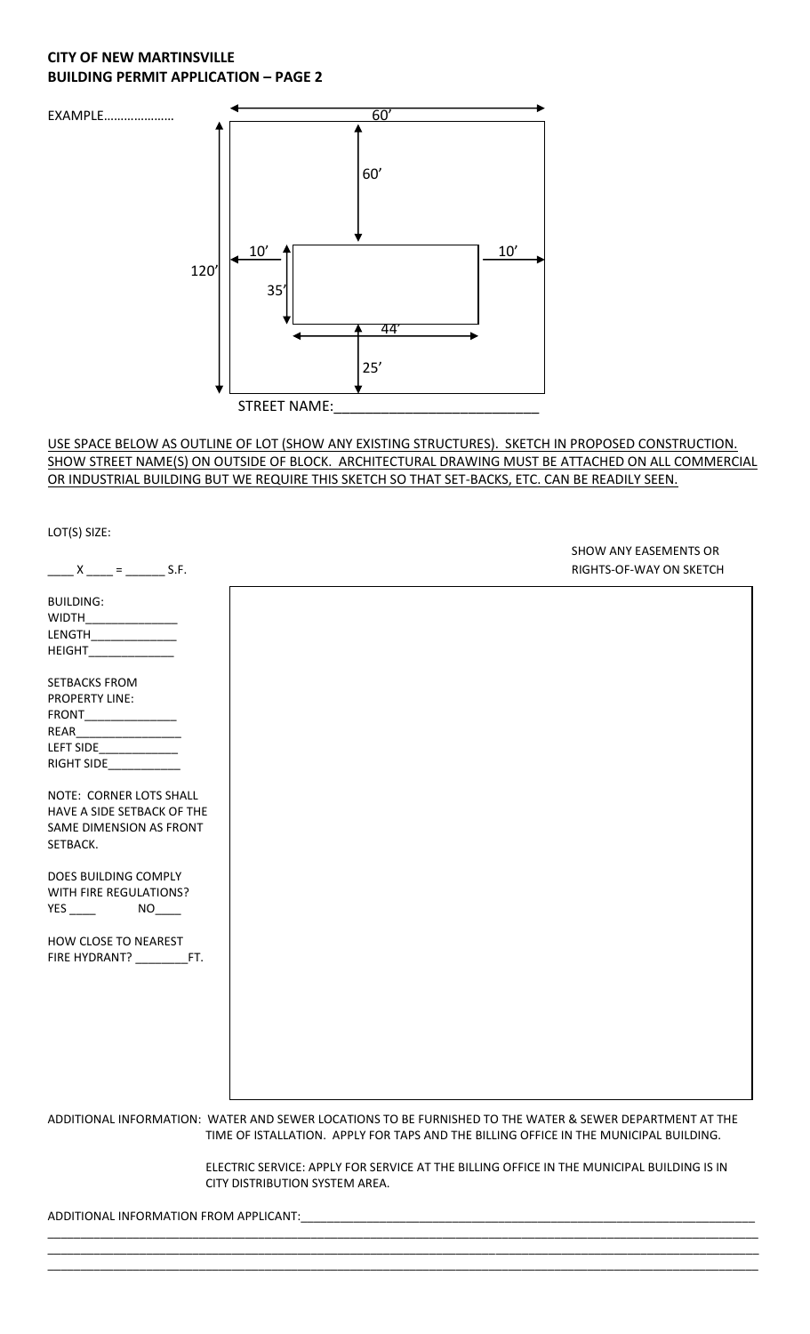## **CITY OF NEW MARTINSVILLE BUILDING PERMIT APPLICATION – PAGE 2**



#### USE SPACE BELOW AS OUTLINE OF LOT (SHOW ANY EXISTING STRUCTURES). SKETCH IN PROPOSED CONSTRUCTION. SHOW STREET NAME(S) ON OUTSIDE OF BLOCK. ARCHITECTURAL DRAWING MUST BE ATTACHED ON ALL COMMERCIAL OR INDUSTRIAL BUILDING BUT WE REQUIRE THIS SKETCH SO THAT SET-BACKS, ETC. CAN BE READILY SEEN.

LOT(S) SIZE: SHOW ANY EASEMENTS OR  $X_{\text{max}} = \frac{1}{2}$  S.F. S.F. BUILDING: WIDTH\_ LENGTH\_\_\_\_\_\_\_\_\_\_\_\_\_ HEIGHT\_\_\_\_\_\_\_\_\_\_\_\_\_ SETBACKS FROM PROPERTY LINE: FRONT\_\_\_\_\_\_\_\_\_\_\_\_\_\_ REAR\_\_\_\_\_\_\_\_\_\_\_\_\_\_\_\_ LEFT SIDE\_\_\_\_\_\_\_\_\_\_\_\_ RIGHT SIDE\_\_\_\_\_\_\_\_\_\_\_ NOTE: CORNER LOTS SHALL HAVE A SIDE SETBACK OF THE SAME DIMENSION AS FRONT SETBACK. DOES BUILDING COMPLY WITH FIRE REGULATIONS? YES \_\_\_\_\_ NO\_\_\_ HOW CLOSE TO NEAREST FIRE HYDRANT? \_\_\_\_\_\_\_\_\_\_\_FT. ADDITIONAL INFORMATION: WATER AND SEWER LOCATIONS TO BE FURNISHED TO THE WATER & SEWER DEPARTMENT AT THE TIME OF ISTALLATION. APPLY FOR TAPS AND THE BILLING OFFICE IN THE MUNICIPAL BUILDING.

> ELECTRIC SERVICE: APPLY FOR SERVICE AT THE BILLING OFFICE IN THE MUNICIPAL BUILDING IS IN CITY DISTRIBUTION SYSTEM AREA.

\_\_\_\_\_\_\_\_\_\_\_\_\_\_\_\_\_\_\_\_\_\_\_\_\_\_\_\_\_\_\_\_\_\_\_\_\_\_\_\_\_\_\_\_\_\_\_\_\_\_\_\_\_\_\_\_\_\_\_\_\_\_\_\_\_\_\_\_\_\_\_\_\_\_\_\_\_\_\_\_\_\_\_\_\_\_\_\_\_\_\_\_\_\_\_\_\_\_\_\_\_\_\_\_\_\_\_\_ \_\_\_\_\_\_\_\_\_\_\_\_\_\_\_\_\_\_\_\_\_\_\_\_\_\_\_\_\_\_\_\_\_\_\_\_\_\_\_\_\_\_\_\_\_\_\_\_\_\_\_\_\_\_\_\_\_\_\_\_\_\_\_\_\_\_\_\_\_\_\_\_\_\_\_\_\_\_\_\_\_\_\_\_\_\_\_\_\_\_\_\_\_\_\_\_\_\_\_\_\_\_\_\_\_\_\_\_ \_\_\_\_\_\_\_\_\_\_\_\_\_\_\_\_\_\_\_\_\_\_\_\_\_\_\_\_\_\_\_\_\_\_\_\_\_\_\_\_\_\_\_\_\_\_\_\_\_\_\_\_\_\_\_\_\_\_\_\_\_\_\_\_\_\_\_\_\_\_\_\_\_\_\_\_\_\_\_\_\_\_\_\_\_\_\_\_\_\_\_\_\_\_\_\_\_\_\_\_\_\_\_\_\_\_\_\_

ADDITIONAL INFORMATION FROM APPLICANT: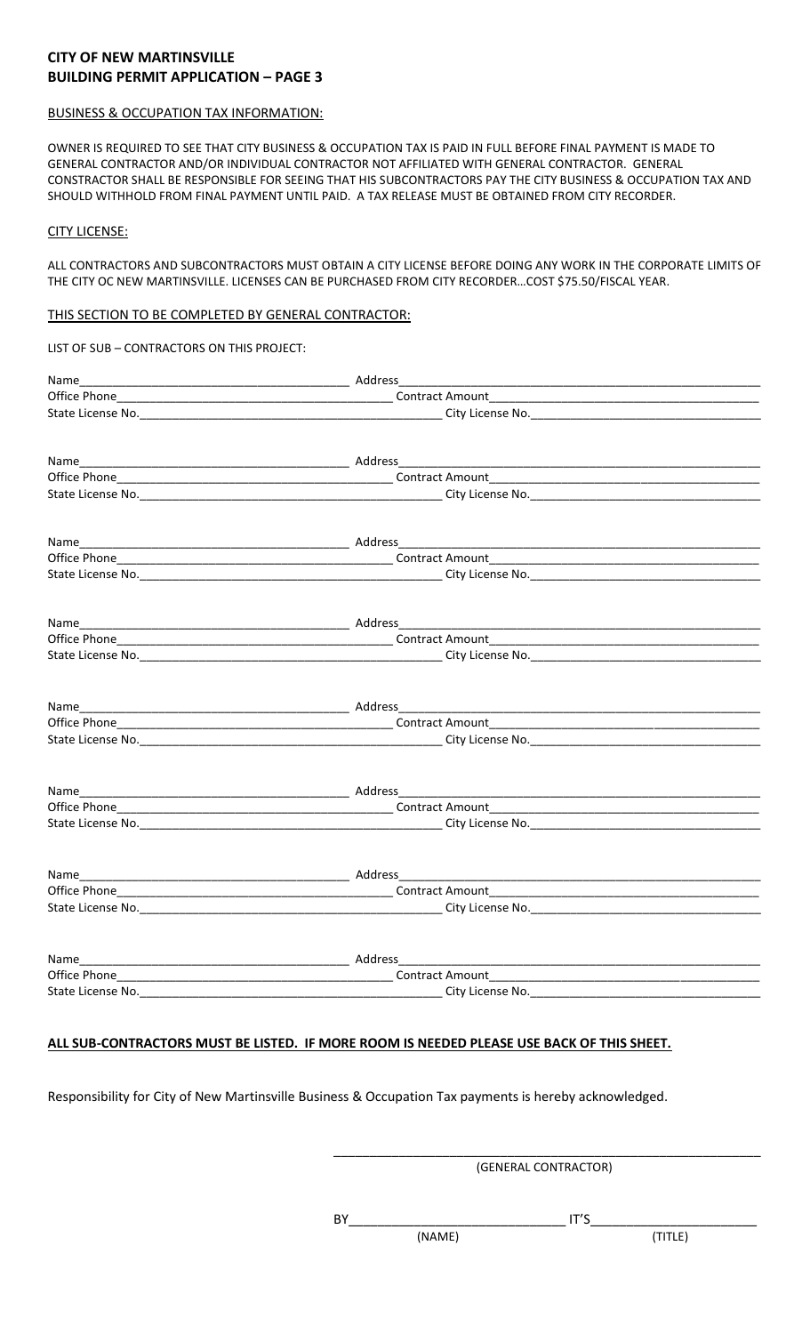## **CITY OF NEW MARTINSVILLE BUILDING PERMIT APPLICATION – PAGE 3**

#### BUSINESS & OCCUPATION TAX INFORMATION:

OWNER IS REQUIRED TO SEE THAT CITY BUSINESS & OCCUPATION TAX IS PAID IN FULL BEFORE FINAL PAYMENT IS MADE TO GENERAL CONTRACTOR AND/OR INDIVIDUAL CONTRACTOR NOT AFFILIATED WITH GENERAL CONTRACTOR. GENERAL CONSTRACTOR SHALL BE RESPONSIBLE FOR SEEING THAT HIS SUBCONTRACTORS PAY THE CITY BUSINESS & OCCUPATION TAX AND SHOULD WITHHOLD FROM FINAL PAYMENT UNTIL PAID. A TAX RELEASE MUST BE OBTAINED FROM CITY RECORDER.

#### CITY LICENSE:

ALL CONTRACTORS AND SUBCONTRACTORS MUST OBTAIN A CITY LICENSE BEFORE DOING ANY WORK IN THE CORPORATE LIMITS OF THE CITY OC NEW MARTINSVILLE. LICENSES CAN BE PURCHASED FROM CITY RECORDER…COST \$75.50/FISCAL YEAR.

#### THIS SECTION TO BE COMPLETED BY GENERAL CONTRACTOR:

| LIST OF SUB - CONTRACTORS ON THIS PROJECT: |  |
|--------------------------------------------|--|
|                                            |  |
|                                            |  |
|                                            |  |
|                                            |  |
|                                            |  |
|                                            |  |
|                                            |  |
|                                            |  |
|                                            |  |
|                                            |  |
|                                            |  |
|                                            |  |
|                                            |  |
|                                            |  |
|                                            |  |
|                                            |  |
|                                            |  |
|                                            |  |
|                                            |  |
|                                            |  |
|                                            |  |
|                                            |  |
|                                            |  |
|                                            |  |

#### **ALL SUB-CONTRACTORS MUST BE LISTED. IF MORE ROOM IS NEEDED PLEASE USE BACK OF THIS SHEET.**

Responsibility for City of New Martinsville Business & Occupation Tax payments is hereby acknowledged.

\_\_\_\_\_\_\_\_\_\_\_\_\_\_\_\_\_\_\_\_\_\_\_\_\_\_\_\_\_\_\_\_\_\_\_\_\_\_\_\_\_\_\_\_\_\_\_\_\_\_\_\_\_\_\_\_\_\_\_ (GENERAL CONTRACTOR)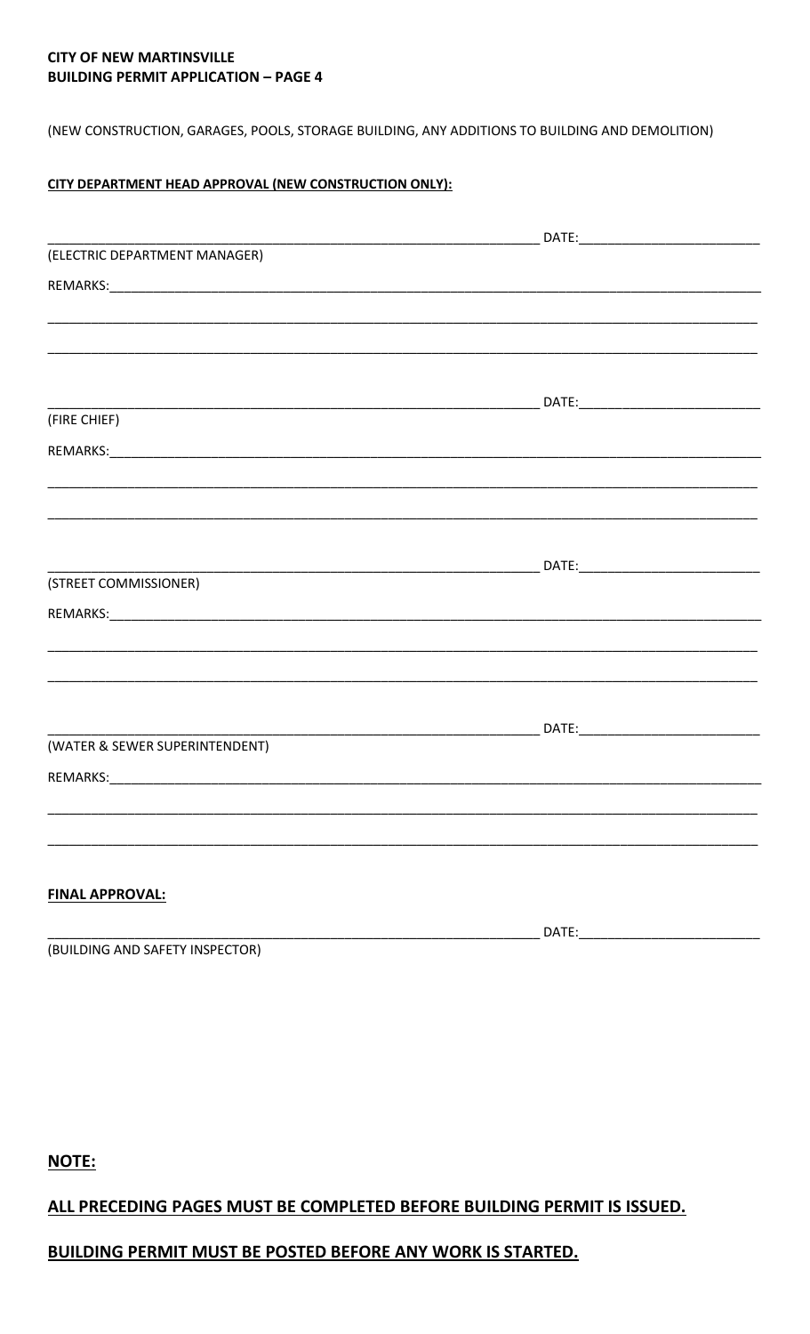# **CITY OF NEW MARTINSVILLE BUILDING PERMIT APPLICATION - PAGE 4**

(NEW CONSTRUCTION, GARAGES, POOLS, STORAGE BUILDING, ANY ADDITIONS TO BUILDING AND DEMOLITION)

## CITY DEPARTMENT HEAD APPROVAL (NEW CONSTRUCTION ONLY):

| (ELECTRIC DEPARTMENT MANAGER)  |                                                                                   |
|--------------------------------|-----------------------------------------------------------------------------------|
|                                |                                                                                   |
|                                |                                                                                   |
|                                |                                                                                   |
|                                |                                                                                   |
|                                |                                                                                   |
| (FIRE CHIEF)                   |                                                                                   |
|                                |                                                                                   |
|                                |                                                                                   |
|                                |                                                                                   |
|                                |                                                                                   |
|                                |                                                                                   |
|                                |                                                                                   |
| (STREET COMMISSIONER)          |                                                                                   |
|                                |                                                                                   |
|                                | ,一个人的人都是一个人的人,我们就是一个人的人,我们就是一个人的人,我们就是一个人的人,我们就是一个人的人,我们就是一个人的人,我们就是一个人的人,我们就是一个人 |
|                                |                                                                                   |
|                                |                                                                                   |
|                                |                                                                                   |
| (WATER & SEWER SUPERINTENDENT) |                                                                                   |
|                                |                                                                                   |
|                                |                                                                                   |
|                                |                                                                                   |
|                                |                                                                                   |
|                                |                                                                                   |
| <b>FINAL APPROVAL:</b>         |                                                                                   |
|                                | DATE:                                                                             |

(BUILDING AND SAFETY INSPECTOR)

NOTE:

# ALL PRECEDING PAGES MUST BE COMPLETED BEFORE BUILDING PERMIT IS ISSUED.

# **BUILDING PERMIT MUST BE POSTED BEFORE ANY WORK IS STARTED.**